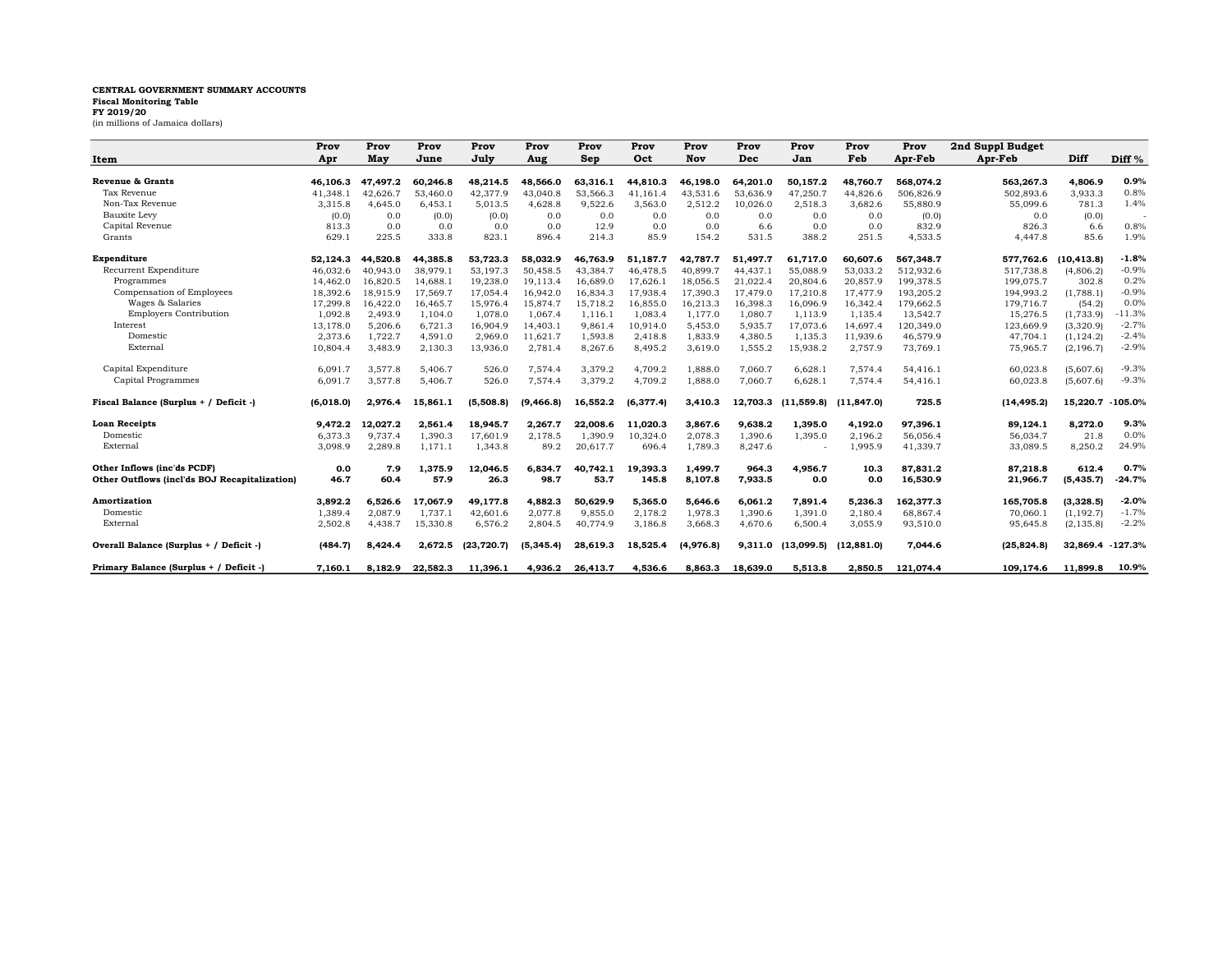## CENTRAL GOVERNMENT SUMMARY ACCOUNTS Fiscal Monitoring Table

FY 2019/20 (in millions of Jamaica dollars)

|                                               | Prov      | Prov     | Prov     | Prov        | Prov       | Prov     | Prov      | Prov      | Prov     | Prov       | Prov        | Prov      | 2nd Suppl Budget |            |                   |
|-----------------------------------------------|-----------|----------|----------|-------------|------------|----------|-----------|-----------|----------|------------|-------------|-----------|------------------|------------|-------------------|
| Item                                          | Apr       | May      | June     | July        | Aug        | Sep      | Oct       | Nov       | Dec      | Jan        | Feb         | Apr-Feb   | Apr-Feb          | Diff       | Diff <sup>%</sup> |
|                                               |           |          |          |             |            |          |           |           |          |            |             |           |                  |            |                   |
| Revenue & Grants                              | 46.106.3  | 47.497.2 | 60.246.8 | 48.214.5    | 48.566.0   | 63.316.1 | 44.810.3  | 46.198.0  | 64,201.0 | 50.157.2   | 48.760.7    | 568.074.2 | 563.267.3        | 4.806.9    | 0.9%              |
| Tax Revenue                                   | 41.348.1  | 42.626.7 | 53,460.0 | 42,377.9    | 43.040.8   | 53.566.3 | 41.161.4  | 43,531.6  | 53,636.9 | 47,250.7   | 44.826.6    | 506.826.9 | 502,893.6        | 3.933.3    | 0.8%              |
| Non-Tax Revenue                               | 3,315.8   | 4,645.0  | 6,453.1  | 5,013.5     | 4,628.8    | 9,522.6  | 3,563.0   | 2,512.2   | 10,026.0 | 2,518.3    | 3,682.6     | 55,880.9  | 55,099.6         | 781.3      | 1.4%              |
| Bauxite Levy                                  | (0.0)     | 0.0      | (0.0)    | (0.0)       | 0.0        | 0.0      | 0.0       | 0.0       | 0.0      | 0.0        | 0.0         | (0.0)     | 0.0              | (0.0)      |                   |
| Capital Revenue                               | 813.3     | 0.0      | 0.0      | 0.0         | 0.0        | 12.9     | 0.0       | 0.0       | 6.6      | 0.0        | 0.0         | 832.9     | 826.3            | 6.6        | 0.8%              |
| Grants                                        | 629.1     | 225.5    | 333.8    | 823.1       | 896.4      | 214.3    | 85.9      | 154.2     | 531.5    | 388.2      | 251.5       | 4,533.5   | 4.447.8          | 85.6       | 1.9%              |
| Expenditure                                   | 52.124.3  | 44.520.8 | 44.385.8 | 53.723.3    | 58.032.9   | 46.763.9 | 51.187.7  | 42.787.7  | 51.497.7 | 61.717.0   | 60.607.6    | 567.348.7 | 577.762.6        | (10.413.8) | $-1.8%$           |
| Recurrent Expenditure                         | 46.032.6  | 40.943.0 | 38,979.1 | 53.197.3    | 50.458.5   | 43.384.7 | 46,478.5  | 40.899.7  | 44,437.1 | 55,088.9   | 53.033.2    | 512.932.6 | 517.738.8        | (4,806.2)  | $-0.9%$           |
| Programmes                                    | 14,462.0  | 16,820.5 | 14,688.1 | 19,238.0    | 19,113.4   | 16,689.0 | 17,626.1  | 18,056.5  | 21,022.4 | 20,804.6   | 20,857.9    | 199,378.5 | 199,075.7        | 302.8      | 0.2%              |
| Compensation of Employees                     | 18,392.6  | 18.915.9 | 17,569.7 | 17,054.4    | 16.942.0   | 16,834.3 | 17.938.4  | 17,390.3  | 17,479.0 | 17,210.8   | 17.477.9    | 193,205.2 | 194,993.2        | (1.788.1)  | $-0.9%$           |
| Wages & Salaries                              | 17.299.8  | 16.422.0 | 16,465.7 | 15.976.4    | 15.874.7   | 15.718.2 | 16.855.0  | 16,213.3  | 16,398.3 | 16.096.9   | 16.342.4    | 179.662.5 | 179.716.7        | (54.2)     | 0.0%              |
| <b>Employers Contribution</b>                 | 1,092.8   | 2,493.9  | 1,104.0  | 1,078.0     | 1,067.4    | 1,116.1  | 1,083.4   | 1,177.0   | 1,080.7  | 1,113.9    | 1,135.4     | 13,542.7  | 15,276.5         | (1,733.9)  | $-11.3%$          |
| Interest                                      | 13,178.0  | 5,206.6  | 6,721.3  | 16,904.9    | 14,403.1   | 9,861.4  | 10,914.0  | 5,453.0   | 5,935.7  | 17,073.6   | 14.697.4    | 120,349.0 | 123,669.9        | (3,320.9)  | $-2.7%$           |
| Domestic                                      | 2,373.6   | 1,722.7  | 4,591.0  | 2,969.0     | 11,621.7   | 1,593.8  | 2,418.8   | 1,833.9   | 4,380.5  | 1,135.3    | 11,939.6    | 46,579.9  | 47,704.1         | (1, 124.2) | $-2.4%$           |
| External                                      | 10,804.4  | 3,483.9  | 2,130.3  | 13,936.0    | 2,781.4    | 8,267.6  | 8,495.2   | 3,619.0   | 1,555.2  | 15,938.2   | 2,757.9     | 73,769.1  | 75,965.7         | (2, 196.7) | $-2.9%$           |
| Capital Expenditure                           | 6.091.7   | 3,577.8  | 5.406.7  | 526.0       | 7,574.4    | 3,379.2  | 4,709.2   | 1,888.0   | 7.060.7  | 6,628.1    | 7,574.4     | 54,416.1  | 60.023.8         | (5,607.6)  | $-9.3%$           |
| Capital Programmes                            | 6.091.7   | 3,577.8  | 5.406.7  | 526.0       | 7,574.4    | 3,379.2  | 4.709.2   | 1,888.0   | 7,060.7  | 6,628.1    | 7,574.4     | 54,416.1  | 60,023.8         | (5,607.6)  | $-9.3%$           |
| Fiscal Balance (Surplus + / Deficit -)        | (6,018.0) | 2,976.4  | 15,861.1 | (5,508.8)   | (9, 466.8) | 16,552.2 | (6,377.4) | 3,410.3   | 12,703.3 | (11,559.8) | (11, 847.0) | 725.5     | (14, 495.2)      | 15,220.7   | $-105.0%$         |
| <b>Loan Receipts</b>                          | 9.472.2   | 12,027.2 | 2,561.4  | 18,945.7    | 2,267.7    | 22,008.6 | 11,020.3  | 3,867.6   | 9,638.2  | 1,395.0    | 4,192.0     | 97,396.1  | 89,124.1         | 8,272.0    | 9.3%              |
| Domestic                                      | 6,373.3   | 9,737.4  | 1,390.3  | 17,601.9    | 2,178.5    | 1,390.9  | 10,324.0  | 2,078.3   | 1,390.6  | 1,395.0    | 2,196.2     | 56,056.4  | 56,034.7         | 21.8       | 0.0%              |
| External                                      | 3.098.9   | 2,289.8  | 1,171.1  | 1,343.8     | 89.2       | 20,617.7 | 696.4     | 1,789.3   | 8,247.6  |            | 1,995.9     | 41,339.7  | 33,089.5         | 8,250.2    | 24.9%             |
| Other Inflows (inc'ds PCDF)                   | 0.0       | 7.9      | 1,375.9  | 12,046.5    | 6,834.7    | 40,742.1 | 19,393.3  | 1.499.7   | 964.3    | 4,956.7    | 10.3        | 87,831.2  | 87,218.8         | 612.4      | 0.7%              |
| Other Outflows (incl'ds BOJ Recapitalization) | 46.7      | 60.4     | 57.9     | 26.3        | 98.7       | 53.7     | 145.8     | 8,107.8   | 7,933.5  | 0.0        | 0.0         | 16,530.9  | 21,966.7         | (5, 435.7) | $-24.7%$          |
| <b>Amortization</b>                           | 3,892.2   | 6,526.6  | 17.067.9 | 49,177.8    | 4,882.3    | 50,629.9 | 5,365.0   | 5,646.6   | 6,061.2  | 7,891.4    | 5,236.3     | 162,377.3 | 165,705.8        | (3,328.5)  | $-2.0%$           |
| Domestic                                      | 1,389.4   | 2,087.9  | 1,737.1  | 42,601.6    | 2,077.8    | 9,855.0  | 2,178.2   | 1,978.3   | 1,390.6  | 1,391.0    | 2,180.4     | 68,867.4  | 70,060.1         | (1, 192.7) | $-1.7%$           |
| External                                      | 2,502.8   | 4.438.7  | 15,330.8 | 6.576.2     | 2,804.5    | 40,774.9 | 3,186.8   | 3,668.3   | 4,670.6  | 6,500.4    | 3.055.9     | 93,510.0  | 95.645.8         | (2, 135.8) | $-2.2%$           |
| Overall Balance (Surplus + / Deficit -)       | (484.7)   | 8,424.4  | 2,672.5  | (23, 720.7) | (5, 345.4) | 28,619.3 | 18,525.4  | (4,976.8) | 9,311.0  | (13,099.5) | (12, 881.0) | 7,044.6   | (25, 824.8)      | 32,869.4   | $-127.3%$         |
| Primary Balance (Surplus + / Deficit -)       | 7.160.1   | 8.182.9  | 22,582.3 | 11.396.1    | 4,936.2    | 26,413.7 | 4.536.6   | 8.863.3   | 18.639.0 | 5,513.8    | 2.850.5     | 121.074.4 | 109.174.6        | 11.899.8   | 10.9%             |